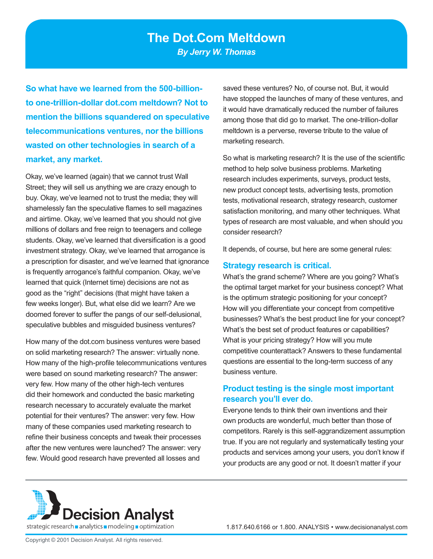**So what have we learned from the 500-billionto one-trillion-dollar dot.com meltdown? Not to mention the billions squandered on speculative telecommunications ventures, nor the billions wasted on other technologies in search of a market, any market.** 

Okay, we've learned (again) that we cannot trust Wall Street; they will sell us anything we are crazy enough to buy. Okay, we've learned not to trust the media; they will shamelessly fan the speculative flames to sell magazines and airtime. Okay, we've learned that you should not give millions of dollars and free reign to teenagers and college students. Okay, we've learned that diversification is a good investment strategy. Okay, we've learned that arrogance is a prescription for disaster, and we've learned that ignorance is frequently arrogance's faithful companion. Okay, we've learned that quick (Internet time) decisions are not as good as the "right" decisions (that might have taken a few weeks longer). But, what else did we learn? Are we doomed forever to suffer the pangs of our self-delusional, speculative bubbles and misguided business ventures?

How many of the dot.com business ventures were based on solid marketing research? The answer: virtually none. How many of the high-profile telecommunications ventures were based on sound marketing research? The answer: very few. How many of the other high-tech ventures did their homework and conducted the basic marketing research necessary to accurately evaluate the market potential for their ventures? The answer: very few. How many of these companies used marketing research to refine their business concepts and tweak their processes after the new ventures were launched? The answer: very few. Would good research have prevented all losses and

saved these ventures? No, of course not. But, it would have stopped the launches of many of these ventures, and it would have dramatically reduced the number of failures among those that did go to market. The one-trillion-dollar meltdown is a perverse, reverse tribute to the value of marketing research.

So what is marketing research? It is the use of the scientific method to help solve business problems. Marketing research includes experiments, surveys, product tests, new product concept tests, advertising tests, promotion tests, motivational research, strategy research, customer satisfaction monitoring, and many other techniques. What types of research are most valuable, and when should you consider research?

It depends, of course, but here are some general rules:

#### **Strategy research is critical.**

What's the grand scheme? Where are you going? What's the optimal target market for your business concept? What is the optimum strategic positioning for your concept? How will you differentiate your concept from competitive businesses? What's the best product line for your concept? What's the best set of product features or capabilities? What is your pricing strategy? How will you mute competitive counterattack? Answers to these fundamental questions are essential to the long-term success of any business venture.

## **Product testing is the single most important research you'll ever do.**

Everyone tends to think their own inventions and their own products are wonderful, much better than those of competitors. Rarely is this self-aggrandizement assumption true. If you are not regularly and systematically testing your products and services among your users, you don't know if your products are any good or not. It doesn't matter if your

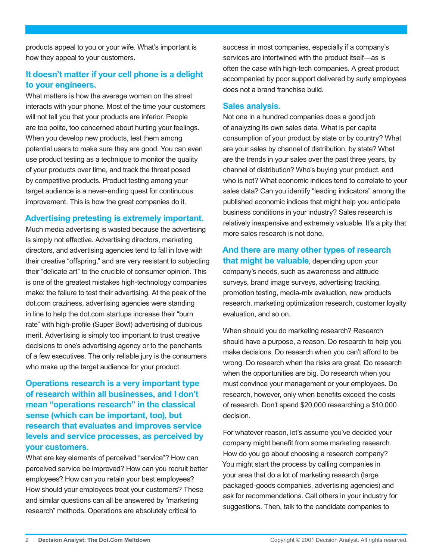products appeal to you or your wife. What's important is how they appeal to your customers.

# **It doesn't matter if your cell phone is a delight to your engineers.**

What matters is how the average woman on the street interacts with your phone. Most of the time your customers will not tell you that your products are inferior. People are too polite, too concerned about hurting your feelings. When you develop new products, test them among potential users to make sure they are good. You can even use product testing as a technique to monitor the quality of your products over time, and track the threat posed by competitive products. Product testing among your target audience is a never-ending quest for continuous improvement. This is how the great companies do it.

## **Advertising pretesting is extremely important.**

Much media advertising is wasted because the advertising is simply not effective. Advertising directors, marketing directors, and advertising agencies tend to fall in love with their creative "offspring," and are very resistant to subjecting their "delicate art" to the crucible of consumer opinion. This is one of the greatest mistakes high-technology companies make: the failure to test their advertising. At the peak of the dot.com craziness, advertising agencies were standing in line to help the dot.com startups increase their "burn rate" with high-profile (Super Bowl) advertising of dubious merit. Advertising is simply too important to trust creative decisions to one's advertising agency or to the penchants of a few executives. The only reliable jury is the consumers who make up the target audience for your product.

## **Operations research is a very important type of research within all businesses, and I don't mean "operations research" in the classical sense (which can be important, too), but research that evaluates and improves service levels and service processes, as perceived by your customers.**

What are key elements of perceived "service"? How can perceived service be improved? How can you recruit better employees? How can you retain your best employees? How should your employees treat your customers? These and similar questions can all be answered by "marketing research" methods. Operations are absolutely critical to

success in most companies, especially if a company's services are intertwined with the product itself—as is often the case with high-tech companies. A great product accompanied by poor support delivered by surly employees does not a brand franchise build.

### **Sales analysis.**

Not one in a hundred companies does a good job of analyzing its own sales data. What is per capita consumption of your product by state or by country? What are your sales by channel of distribution, by state? What are the trends in your sales over the past three years, by channel of distribution? Who's buying your product, and who is not? What economic indices tend to correlate to your sales data? Can you identify "leading indicators" among the published economic indices that might help you anticipate business conditions in your industry? Sales research is relatively inexpensive and extremely valuable. It's a pity that more sales research is not done.

**And there are many other types of research that might be valuable**, depending upon your company's needs, such as awareness and attitude surveys, brand image surveys, advertising tracking, promotion testing, media-mix evaluation, new products research, marketing optimization research, customer loyalty evaluation, and so on.

When should you do marketing research? Research should have a purpose, a reason. Do research to help you make decisions. Do research when you can't afford to be wrong. Do research when the risks are great. Do research when the opportunities are big. Do research when you must convince your management or your employees. Do research, however, only when benefits exceed the costs of research. Don't spend \$20,000 researching a \$10,000 decision.

For whatever reason, let's assume you've decided your company might benefit from some marketing research. How do you go about choosing a research company? You might start the process by calling companies in your area that do a lot of marketing research (large packaged-goods companies, advertising agencies) and ask for recommendations. Call others in your industry for suggestions. Then, talk to the candidate companies to